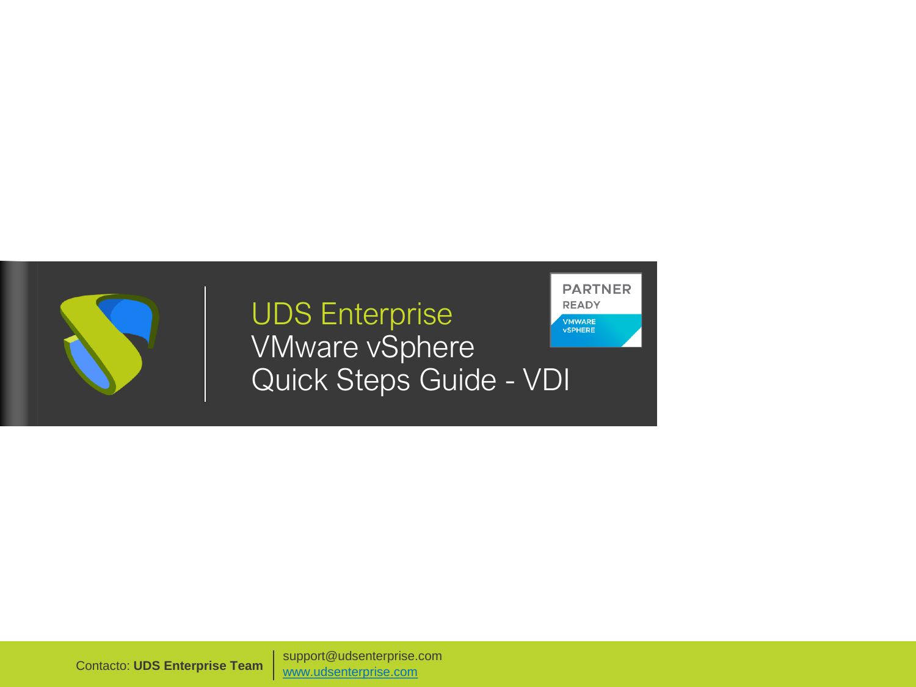

### UDS Enterprise VMware vSphere Quick Steps Guide - VDI

**PARTNER READY VMWARE**<br>vSPHERE

Contacto: **UDS Enterprise Team** [www.udsenterprise.com](http://www.udsenterprise.com/) support@udsenterprise.com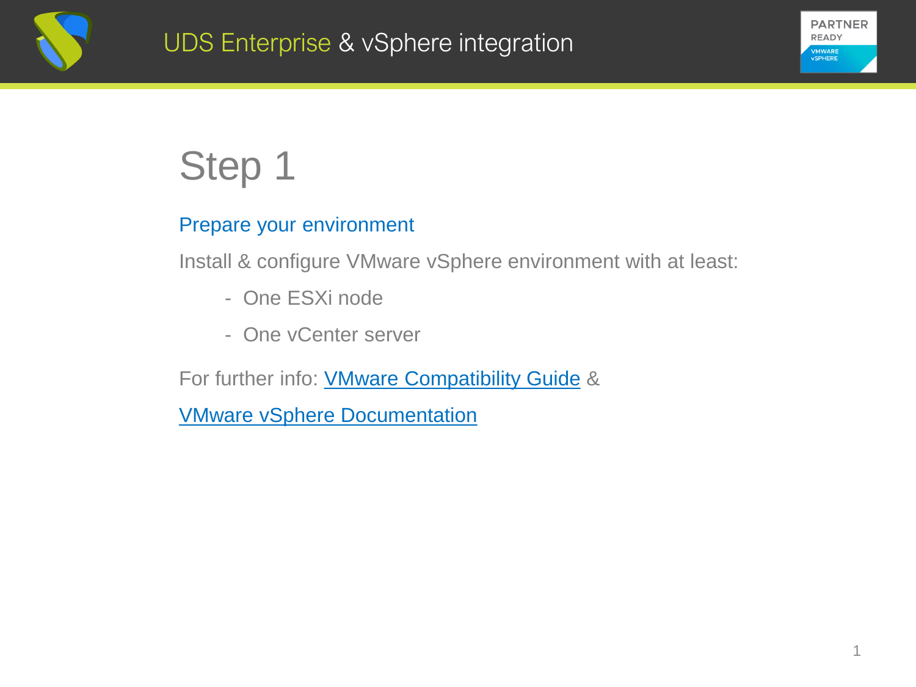



#### Prepare your environment

Install & configure VMware vSphere environment with at least:

- One ESXi node
- One vCenter server

For further info: **VMware [Compatibility](https://www.vmware.com/resources/compatibility/search.php) Guide &** 

VMware vSphere [Documentation](https://docs.vmware.com/es/VMware-vSphere/index.html)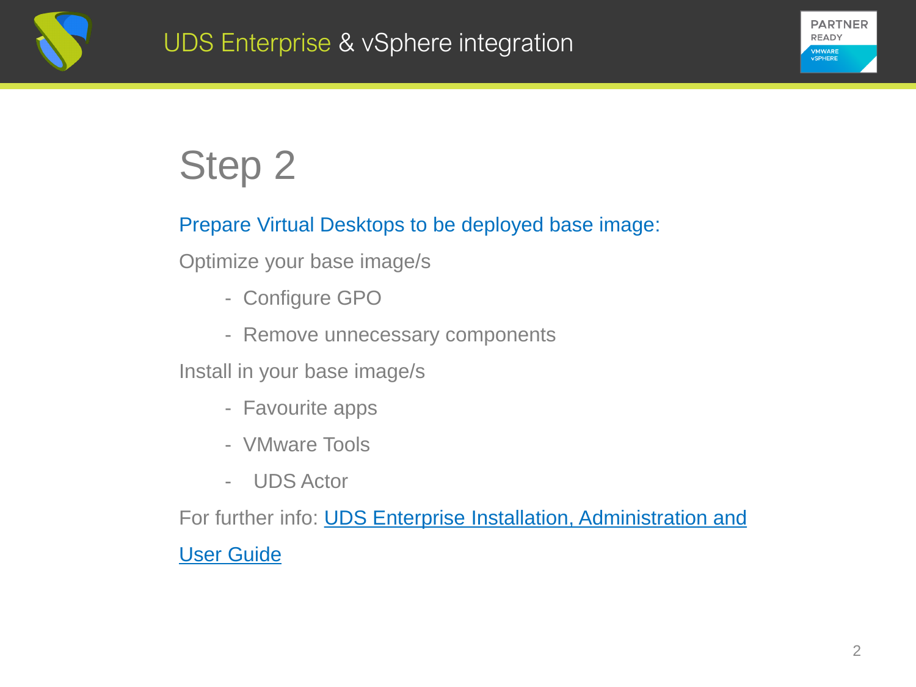



#### Prepare Virtual Desktops to be deployed base image:

Optimize your base image/s

- Configure GPO
- Remove unnecessary components

Install in your base image/s

- Favourite apps
- VMware Tools
- UDS Actor

For further info: **UDS Enterprise Installation, Administration and** User Guide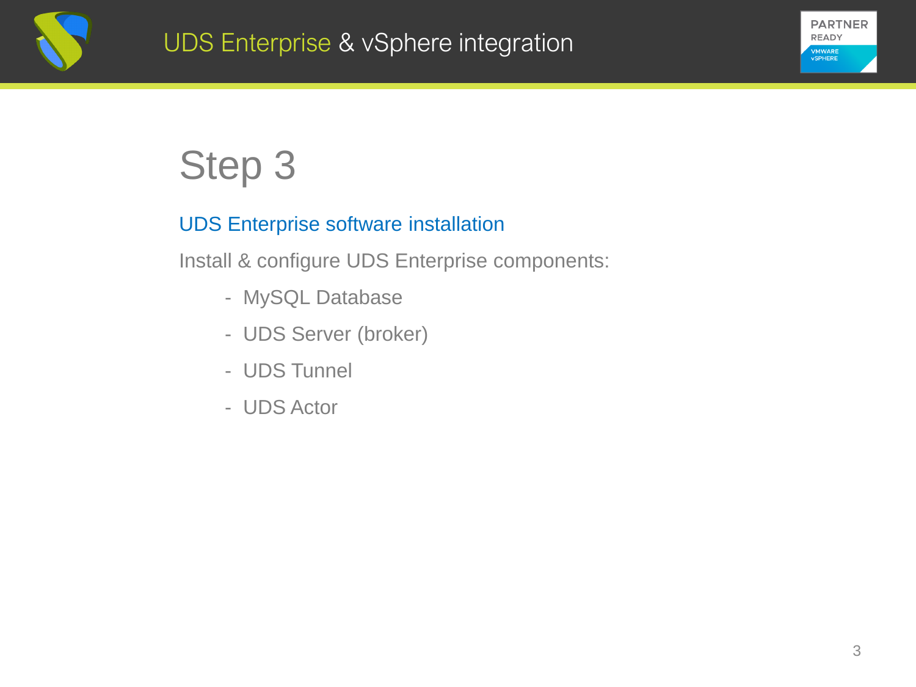



#### UDS Enterprise software installation

Install & configure UDS Enterprise components:

- MySQL Database
- UDS Server (broker)
- UDS Tunnel
- UDS Actor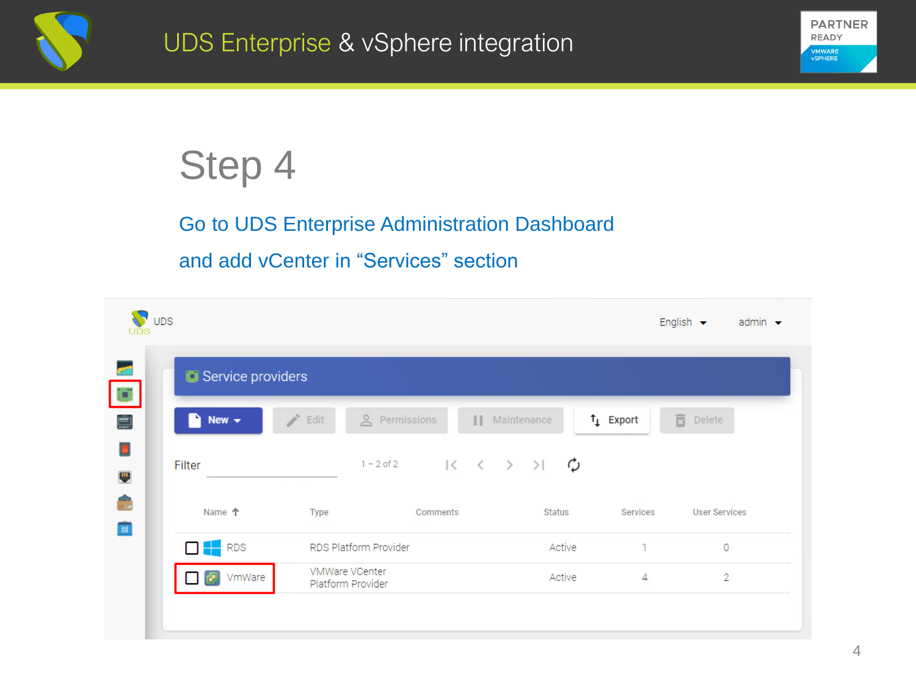



### Go to UDS Enterprise Administration Dashboard

#### and add vCenter in "Services" section

| $\sqrt{\ }$ UDS       |                                     |                                                   | English $\blacktriangleright$<br>admin $\blacktriangleright$ |  |  |  |  |
|-----------------------|-------------------------------------|---------------------------------------------------|--------------------------------------------------------------|--|--|--|--|
| Service providers     |                                     |                                                   |                                                              |  |  |  |  |
| i.<br>New $\sim$<br>۹ | & Permissions<br>Edit               | $t_{\perp}$ Export<br>Maintenance<br>$\mathbf{H}$ | 盲<br>Delete                                                  |  |  |  |  |
| Filter                | $1 - 2$ of 2                        |                                                   |                                                              |  |  |  |  |
| Name 个                | Type<br>Comments                    | <b>Status</b>                                     | Services<br><b>User Services</b>                             |  |  |  |  |
| $\Box$ RDS            | RDS Platform Provider               | Active                                            | 1<br>$\circ$                                                 |  |  |  |  |
| VmWare<br>æ           | VMWare VCenter<br>Platform Provider | Active                                            | 2<br>4                                                       |  |  |  |  |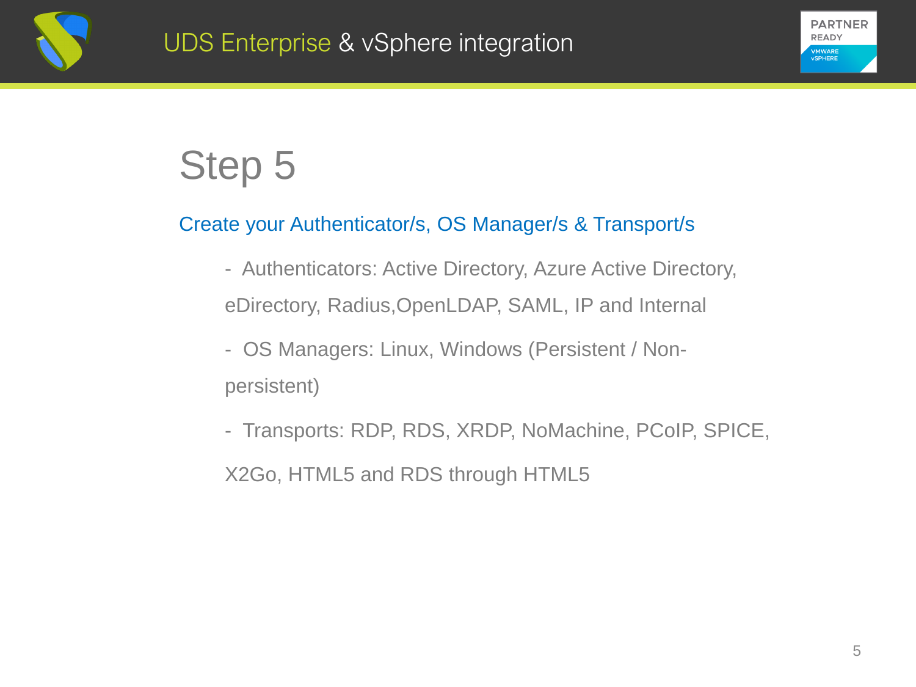



#### Create your Authenticator/s, OS Manager/s & Transport/s

- Authenticators: Active Directory, Azure Active Directory, eDirectory, Radius,OpenLDAP, SAML, IP and Internal
- OS Managers: Linux, Windows (Persistent / Nonpersistent)
- Transports: RDP, RDS, XRDP, NoMachine, PCoIP, SPICE,

X2Go, HTML5 and RDS through HTML5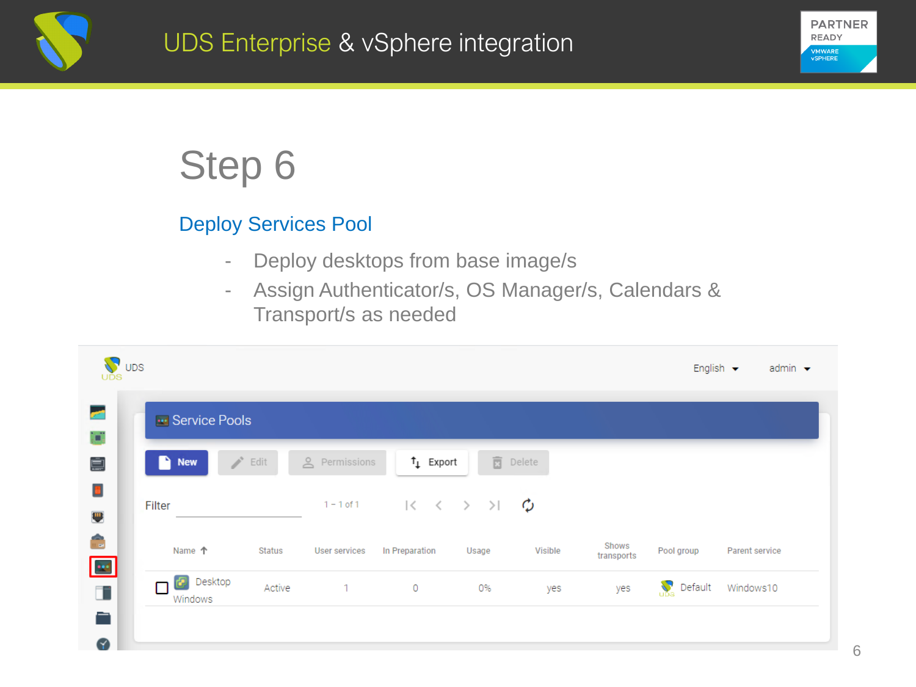



#### Deploy Services Pool

- Deploy desktops from base image/s
- Assign Authenticator/s, OS Manager/s, Calendars & Transport/s as needed

| $\mathbf{V}$ ups<br>UĎS |                                                      |        |                      |                   |                                                                        |                     |                     | English $\blacktriangleright$ | admin $\blacktriangleright$ |
|-------------------------|------------------------------------------------------|--------|----------------------|-------------------|------------------------------------------------------------------------|---------------------|---------------------|-------------------------------|-----------------------------|
|                         | <b>Exi</b> Service Pools                             |        |                      |                   |                                                                        |                     |                     |                               |                             |
|                         | <b>Contract Contract Contract</b><br>D<br><b>New</b> | Edit   | <u>A</u> Permissions | $\uparrow$ Export | 面                                                                      | Delete              |                     |                               |                             |
|                         | Filter                                               |        | $1 - 1$ of $1$       |                   | $ \langle \quad \langle \quad \rangle \quad \rangle   \quad \rangle  $ | $\boldsymbol{\phi}$ |                     |                               |                             |
| $\blacksquare$          | Name 个                                               | Status | User services        | In Preparation    | Usage                                                                  | Visible             | Shows<br>transports | Pool group                    | Parent service              |
|                         | <b>P</b> Desktop<br>Windows                          | Active | $\mathbf{1}$         | 0                 | 0%                                                                     | yes                 | yes                 | $\sum_{\alpha}$<br>Default    | Windows10                   |
|                         |                                                      |        |                      |                   |                                                                        |                     |                     |                               |                             |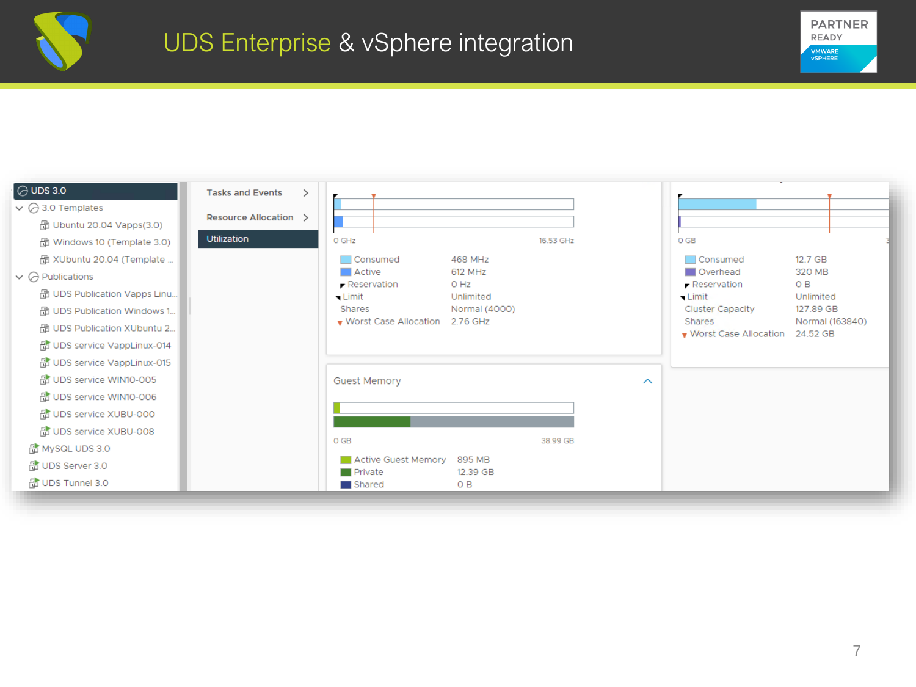



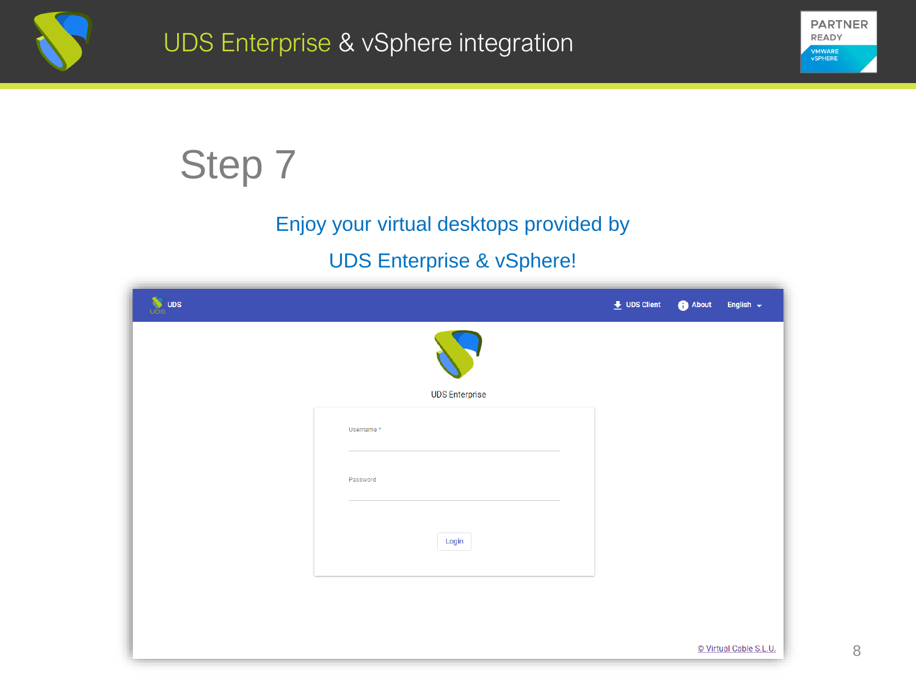



### Enjoy your virtual desktops provided by

#### UDS Enterprise & vSphere!

| <b>W</b> UDS |                       | $\bigstar$ UDS Client | About | English $\leftarrow$   |
|--------------|-----------------------|-----------------------|-------|------------------------|
|              |                       |                       |       |                        |
|              | <b>UDS Enterprise</b> |                       |       |                        |
|              | Username*             |                       |       |                        |
|              |                       |                       |       |                        |
|              | Password              |                       |       |                        |
|              |                       |                       |       |                        |
|              | Login                 |                       |       |                        |
|              |                       |                       |       |                        |
|              |                       |                       |       |                        |
|              |                       |                       |       | © Virtual Cable S.L.U. |